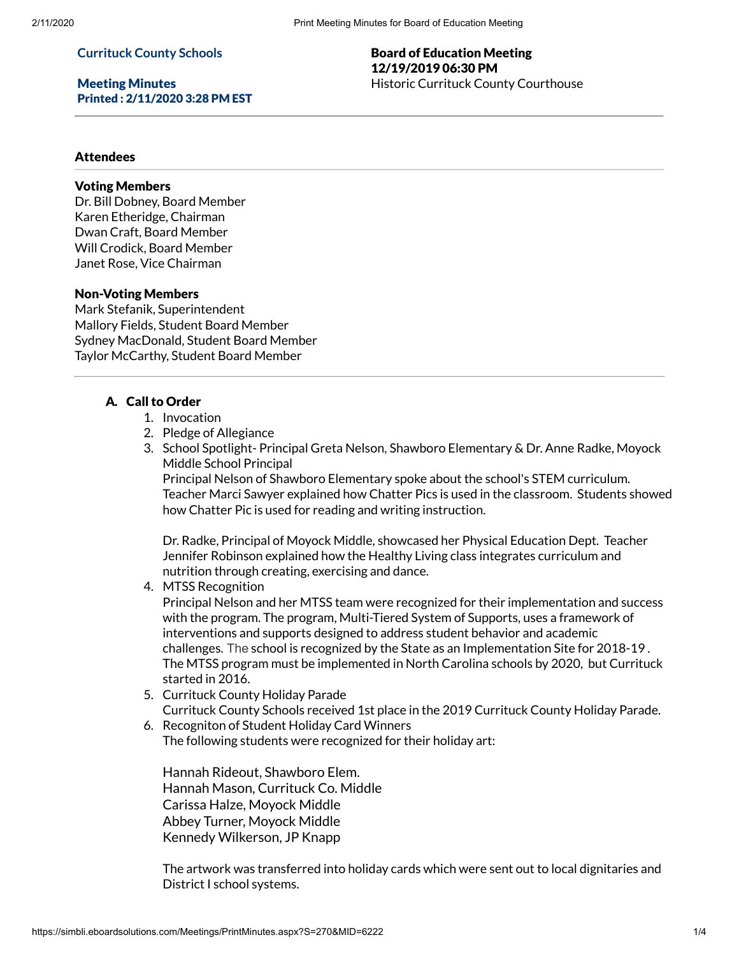#### **Currituck County Schools**

Meeting Minutes Printed : 2/11/2020 3:28 PM EST

### Board of Education Meeting 12/19/2019 06:30 PM Historic Currituck County Courthouse

### Attendees

#### Voting Members

Dr. Bill Dobney, Board Member Karen Etheridge, Chairman Dwan Craft, Board Member Will Crodick, Board Member Janet Rose, Vice Chairman

#### Non-Voting Members

Mark Stefanik, Superintendent Mallory Fields, Student Board Member Sydney MacDonald, Student Board Member Taylor McCarthy, Student Board Member

#### A. Call to Order

- 1. Invocation
- 2. Pledge of Allegiance
- 3. School Spotlight- Principal Greta Nelson, Shawboro Elementary & Dr. Anne Radke, Moyock Middle School Principal

Principal Nelson of Shawboro Elementary spoke about the school's STEM curriculum. Teacher Marci Sawyer explained how Chatter Pics is used in the classroom. Students showed how Chatter Pic is used for reading and writing instruction.

Dr. Radke, Principal of Moyock Middle, showcased her Physical Education Dept. Teacher Jennifer Robinson explained how the Healthy Living class integrates curriculum and nutrition through creating, exercising and dance.

#### 4. MTSS Recognition

Principal Nelson and her MTSS team were recognized for their implementation and success with the program. The program, Multi-Tiered System of Supports, uses a framework of interventions and supports designed to address student behavior and academic challenges. The school is recognized by the State as an Implementation Site for 2018-19 . The MTSS program must be implemented in North Carolina schools by 2020, but Currituck started in 2016.

5. Currituck County Holiday Parade

Currituck County Schools received 1st place in the 2019 Currituck County Holiday Parade.

6. Recogniton of Student Holiday Card Winners The following students were recognized for their holiday art:

Hannah Rideout, Shawboro Elem. Hannah Mason, Currituck Co. Middle Carissa Halze, Moyock Middle Abbey Turner, Moyock Middle Kennedy Wilkerson, JP Knapp

The artwork was transferred into holiday cards which were sent out to local dignitaries and District I school systems.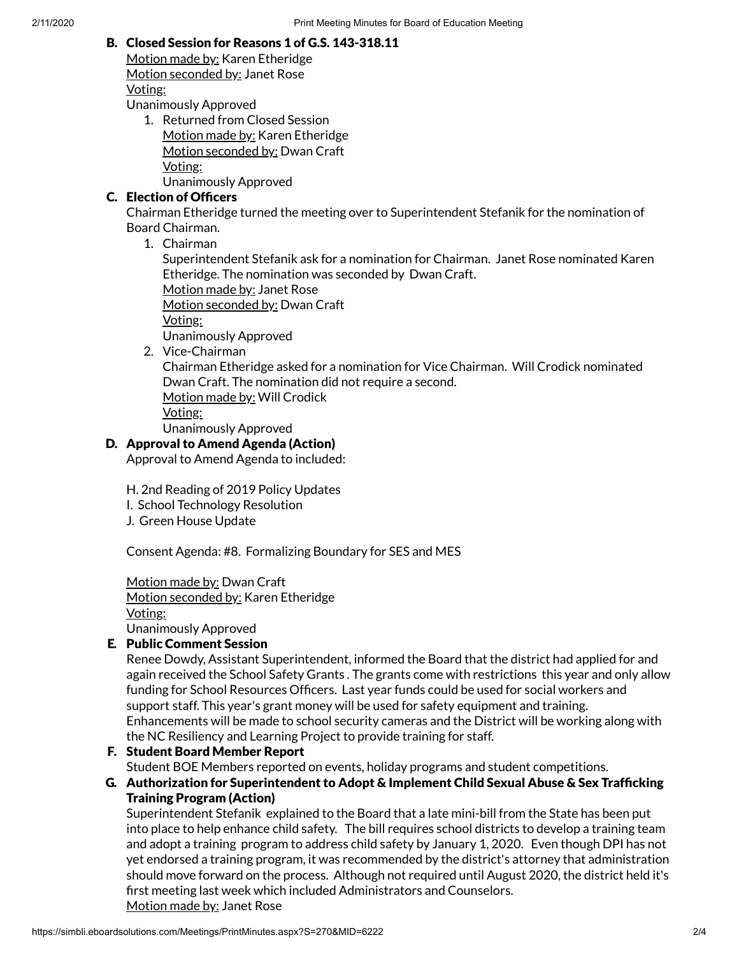### B. Closed Session for Reasons 1 of G.S. 143-318.11

Motion made by: Karen Etheridge Motion seconded by: Janet Rose Voting: Unanimously Approved

1. Returned from Closed Session Motion made by: Karen Etheridge Motion seconded by: Dwan Craft Voting: Unanimously Approved

## C. Election of Officers

Chairman Etheridge turned the meeting over to Superintendent Stefanik for the nomination of Board Chairman.

1. Chairman

Superintendent Stefanik ask for a nomination for Chairman. Janet Rose nominated Karen Etheridge. The nomination was seconded by Dwan Craft.

Motion made by: Janet Rose

Motion seconded by: Dwan Craft

Voting:

Unanimously Approved

2. Vice-Chairman

Chairman Etheridge asked for a nomination for Vice Chairman. Will Crodick nominated Dwan Craft. The nomination did not require a second. Motion made by: Will Crodick Voting:

Unanimously Approved

## D. Approval to Amend Agenda (Action)

Approval to Amend Agenda to included:

H. 2nd Reading of 2019 Policy Updates

- I. School Technology Resolution
- J. Green House Update

Consent Agenda: #8. Formalizing Boundary for SES and MES

Motion made by: Dwan Craft Motion seconded by: Karen Etheridge Voting: Unanimously Approved

## E. Public Comment Session

Renee Dowdy, Assistant Superintendent, informed the Board that the district had applied for and again received the School Safety Grants . The grants come with restrictions this year and only allow funding for School Resources Officers. Last year funds could be used for social workers and support staff. This year's grant money will be used for safety equipment and training. Enhancements will be made to school security cameras and the District will be working along with the NC Resiliency and Learning Project to provide training for staff.

## F. Student Board Member Report

Student BOE Members reported on events, holiday programs and student competitions.

### G. Authorization for Superintendent to Adopt & Implement Child Sexual Abuse & Sex Trafficking Training Program (Action)

Superintendent Stefanik explained to the Board that a late mini-bill from the State has been put into place to help enhance child safety. The bill requires school districts to develop a training team and adopt a training program to address child safety by January 1, 2020. Even though DPI has not yet endorsed a training program, it was recommended by the district's attorney that administration should move forward on the process. Although not required until August 2020, the district held it's first meeting last week which included Administrators and Counselors. Motion made by: Janet Rose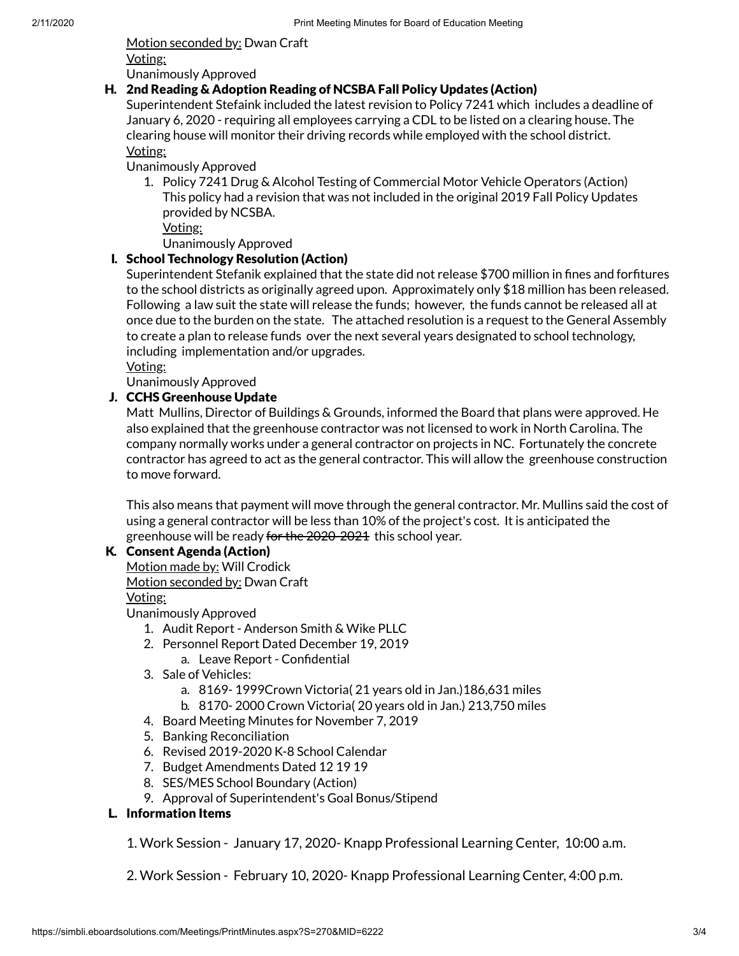Motion seconded by: Dwan Craft Voting: Unanimously Approved

### H. 2nd Reading & Adoption Reading of NCSBA Fall Policy Updates (Action)

Superintendent Stefaink included the latest revision to Policy 7241 which includes a deadline of January 6, 2020 - requiring all employees carrying a CDL to be listed on a clearing house. The clearing house will monitor their driving records while employed with the school district. Voting:

Unanimously Approved

1. Policy 7241 Drug & Alcohol Testing of Commercial Motor Vehicle Operators (Action) This policy had a revision that was not included in the original 2019 Fall Policy Updates provided by NCSBA.

Voting:

Unanimously Approved

## I. School Technology Resolution (Action)

Superintendent Stefanik explained that the state did not release \$700 million in fines and forfitures to the school districts as originally agreed upon. Approximately only \$18 million has been released. Following a law suit the state will release the funds; however, the funds cannot be released all at once due to the burden on the state. The attached resolution is a request to the General Assembly to create a plan to release funds over the next several years designated to school technology, including implementation and/or upgrades.

Voting:

Unanimously Approved

### J. CCHS Greenhouse Update

Matt Mullins, Director of Buildings & Grounds, informed the Board that plans were approved. He also explained that the greenhouse contractor was not licensed to work in North Carolina. The company normally works under a general contractor on projects in NC. Fortunately the concrete contractor has agreed to act as the general contractor. This will allow the greenhouse construction to move forward.

This also means that payment will move through the general contractor. Mr. Mullins said the cost of using a general contractor will be less than 10% of the project's cost. It is anticipated the greenhouse will be ready for the 2020-2021 this school year.

### K. Consent Agenda (Action)

Motion made by: Will Crodick Motion seconded by: Dwan Craft Voting:

Unanimously Approved

- 1. Audit Report Anderson Smith & Wike PLLC
- 2. Personnel Report Dated December 19, 2019
	- a. Leave Report Confidential
- 3. Sale of Vehicles:
	- a. 8169- 1999Crown Victoria( 21 years old in Jan.)186,631 miles
	- b. 8170- 2000 Crown Victoria( 20 years old in Jan.) 213,750 miles
- 4. Board Meeting Minutes for November 7, 2019
- 5. Banking Reconciliation
- 6. Revised 2019-2020 K-8 School Calendar
- 7. Budget Amendments Dated 12 19 19
- 8. SES/MES School Boundary (Action)
- 9. Approval of Superintendent's Goal Bonus/Stipend

### L. Information Items

1. Work Session - January 17, 2020- Knapp Professional Learning Center, 10:00 a.m.

2. Work Session - February 10, 2020- Knapp Professional Learning Center, 4:00 p.m.